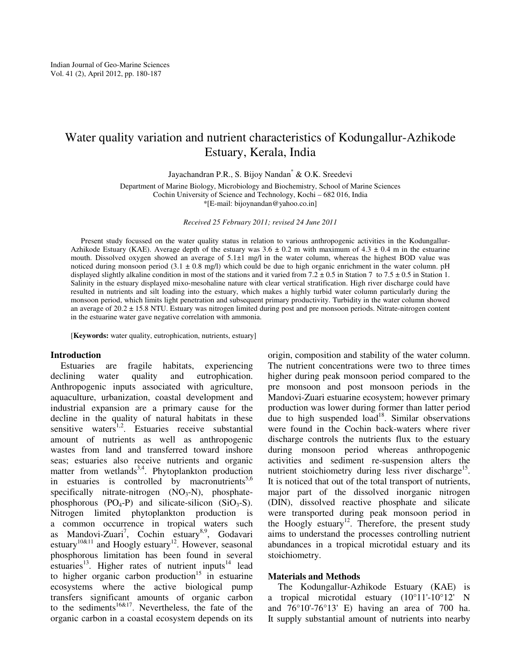# Water quality variation and nutrient characteristics of Kodungallur-Azhikode Estuary, Kerala, India

Jayachandran P.R., S. Bijoy Nandan\* & O.K. Sreedevi

Department of Marine Biology, Microbiology and Biochemistry, School of Marine Sciences Cochin University of Science and Technology, Kochi – 682 016, India \*[E-mail: bijoynandan@yahoo.co.in]

*Received 25 February 2011; revised 24 June 2011* 

Present study focussed on the water quality status in relation to various anthropogenic activities in the Kodungallur-Azhikode Estuary (KAE). Average depth of the estuary was  $3.6 \pm 0.2$  m with maximum of  $4.3 \pm 0.4$  m in the estuarine mouth. Dissolved oxygen showed an average of 5.1±1 mg/l in the water column, whereas the highest BOD value was noticed during monsoon period  $(3.1 \pm 0.8 \text{ mg/l})$  which could be due to high organic enrichment in the water column. pH displayed slightly alkaline condition in most of the stations and it varied from  $7.2 \pm 0.5$  in Station 7 to  $7.5 \pm 0.5$  in Station 1. Salinity in the estuary displayed mixo-mesohaline nature with clear vertical stratification. High river discharge could have resulted in nutrients and silt loading into the estuary, which makes a highly turbid water column particularly during the monsoon period, which limits light penetration and subsequent primary productivity. Turbidity in the water column showed an average of 20.2 ± 15.8 NTU. Estuary was nitrogen limited during post and pre monsoon periods. Nitrate-nitrogen content in the estuarine water gave negative correlation with ammonia.

[**Keywords:** water quality, eutrophication, nutrients, estuary]

#### **Introduction**

Estuaries are fragile habitats, experiencing declining water quality and eutrophication. Anthropogenic inputs associated with agriculture, aquaculture, urbanization, coastal development and industrial expansion are a primary cause for the decline in the quality of natural habitats in these sensitive waters<sup>1,2</sup>. Estuaries receive substantial amount of nutrients as well as anthropogenic wastes from land and transferred toward inshore seas; estuaries also receive nutrients and organic matter from wetlands<sup>3,4</sup>. Phytoplankton production in estuaries is controlled by macronutrients $5,6$ specifically nitrate-nitrogen  $(NO<sub>3</sub>-N)$ , phosphatephosphorous (PO<sub>4</sub>-P) and silicate-silicon (SiO<sub>3</sub>-S). Nitrogen limited phytoplankton production is a common occurrence in tropical waters such as Mandovi-Zuari<sup>7</sup>, Cochin estuary<sup>8,9</sup>, Godavari estuary<sup>10&11</sup> and Hoogly estuary<sup>12</sup>. However, seasonal phosphorous limitation has been found in several estuaries<sup>13</sup>. Higher rates of nutrient inputs<sup>14</sup> lead to higher organic carbon production<sup>15</sup> in estuarine ecosystems where the active biological pump transfers significant amounts of organic carbon to the sediments<sup>16&17</sup>. Nevertheless, the fate of the organic carbon in a coastal ecosystem depends on its

origin, composition and stability of the water column. The nutrient concentrations were two to three times higher during peak monsoon period compared to the pre monsoon and post monsoon periods in the Mandovi-Zuari estuarine ecosystem; however primary production was lower during former than latter period due to high suspended  $\log^{18}$ . Similar observations were found in the Cochin back-waters where river discharge controls the nutrients flux to the estuary during monsoon period whereas anthropogenic activities and sediment re-suspension alters the nutrient stoichiometry during less river discharge<sup>15</sup>. It is noticed that out of the total transport of nutrients, major part of the dissolved inorganic nitrogen (DIN), dissolved reactive phosphate and silicate were transported during peak monsoon period in the Hoogly estuary<sup>12</sup>. Therefore, the present study aims to understand the processes controlling nutrient abundances in a tropical microtidal estuary and its stoichiometry.

### **Materials and Methods**

The Kodungallur-Azhikode Estuary (KAE) is a tropical microtidal estuary (10°11'-10°12' N and 76°10'-76°13' E) having an area of 700 ha. It supply substantial amount of nutrients into nearby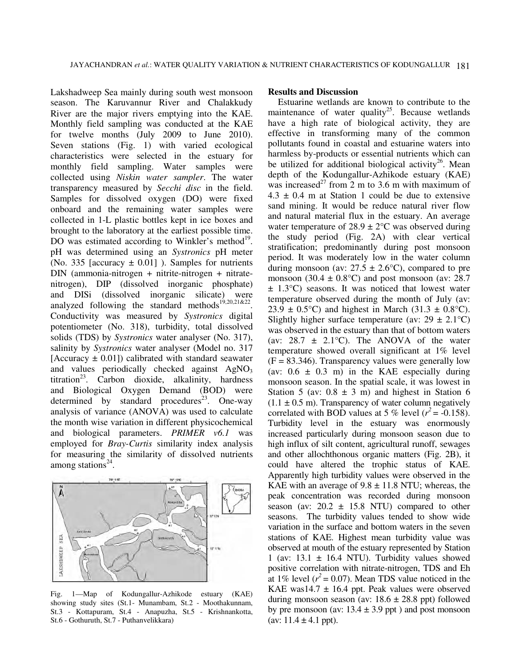Lakshadweep Sea mainly during south west monsoon season. The Karuvannur River and Chalakkudy River are the major rivers emptying into the KAE. Monthly field sampling was conducted at the KAE for twelve months (July 2009 to June 2010). Seven stations (Fig. 1) with varied ecological characteristics were selected in the estuary for monthly field sampling. Water samples were collected using *Niskin water sampler*. The water transparency measured by *Secchi disc* in the field. Samples for dissolved oxygen (DO) were fixed onboard and the remaining water samples were collected in 1-L plastic bottles kept in ice boxes and brought to the laboratory at the earliest possible time. DO was estimated according to Winkler's method<sup>19</sup>. pH was determined using an *Systronics* pH meter (No. 335 [accuracy  $\pm$  0.01]). Samples for nutrients DIN (ammonia-nitrogen + nitrite-nitrogen + nitratenitrogen), DIP (dissolved inorganic phosphate) and DISi (dissolved inorganic silicate) were analyzed following the standard methods<sup>19,20,21&22</sup>. Conductivity was measured by *Systronics* digital potentiometer (No. 318), turbidity, total dissolved solids (TDS) by *Systronics* water analyser (No. 317), salinity by *Systronics* water analyser (Model no. 317 [Accuracy  $\pm$  0.01]) calibrated with standard seawater and values periodically checked against  $AgNO<sub>3</sub>$ titration<sup>23</sup>. Carbon dioxide, alkalinity, hardness and Biological Oxygen Demand (BOD) were determined by standard procedures<sup>23</sup>. One-way analysis of variance (ANOVA) was used to calculate the month wise variation in different physicochemical and biological parameters. *PRIMER v6.1* was employed for *Bray-Curtis* similarity index analysis for measuring the similarity of dissolved nutrients among stations $24$ .



Fig. 1—Map of Kodungallur-Azhikode estuary (KAE) showing study sites (St.1- Munambam, St.2 - Moothakunnam, St.3 - Kottapuram, St.4 - Anapuzha, St.5 - Krishnankotta, St.6 - Gothuruth, St.7 - Puthanvelikkara)

## **Results and Discussion**

Estuarine wetlands are known to contribute to the maintenance of water quality<sup>25</sup>. Because wetlands have a high rate of biological activity, they are effective in transforming many of the common pollutants found in coastal and estuarine waters into harmless by-products or essential nutrients which can be utilized for additional biological activity<sup>26</sup>. Mean depth of the Kodungallur-Azhikode estuary (KAE) was increased<sup>27</sup> from 2 m to 3.6 m with maximum of  $4.3 \pm 0.4$  m at Station 1 could be due to extensive sand mining. It would be reduce natural river flow and natural material flux in the estuary. An average water temperature of  $28.9 \pm 2$ °C was observed during the study period (Fig. 2A) with clear vertical stratification; predominantly during post monsoon period. It was moderately low in the water column during monsoon (av:  $27.5 \pm 2.6$ °C), compared to pre monsoon (30.4  $\pm$  0.8°C) and post monsoon (av: 28.7 ± 1.3°C) seasons. It was noticed that lowest water temperature observed during the month of July (av: 23.9  $\pm$  0.5°C) and highest in March (31.3  $\pm$  0.8°C). Slightly higher surface temperature (av:  $29 \pm 2.1^{\circ}$ C) was observed in the estuary than that of bottom waters (av:  $28.7 \pm 2.1$ °C). The ANOVA of the water temperature showed overall significant at 1% level  $(F = 83.346)$ . Transparency values were generally low (av:  $0.6 \pm 0.3$  m) in the KAE especially during monsoon season. In the spatial scale, it was lowest in Station 5 (av:  $0.8 \pm 3$  m) and highest in Station 6  $(1.1 \pm 0.5 \text{ m})$ . Transparency of water column negatively correlated with BOD values at 5 % level  $(r^2 = -0.158)$ . Turbidity level in the estuary was enormously increased particularly during monsoon season due to high influx of silt content, agricultural runoff, sewages and other allochthonous organic matters (Fig. 2B), it could have altered the trophic status of KAE. Apparently high turbidity values were observed in the KAE with an average of  $9.8 \pm 11.8$  NTU; whereas, the peak concentration was recorded during monsoon season (av:  $20.2 \pm 15.8$  NTU) compared to other seasons. The turbidity values tended to show wide variation in the surface and bottom waters in the seven stations of KAE. Highest mean turbidity value was observed at mouth of the estuary represented by Station 1 (av:  $13.1 \pm 16.4$  NTU). Turbidity values showed positive correlation with nitrate-nitrogen, TDS and Eh at 1% level  $(r^2 = 0.07)$ . Mean TDS value noticed in the KAE was14.7  $\pm$  16.4 ppt. Peak values were observed during monsoon season (av:  $18.6 \pm 28.8$  ppt) followed by pre monsoon (av:  $13.4 \pm 3.9$  ppt) and post monsoon (av:  $11.4 \pm 4.1$  ppt).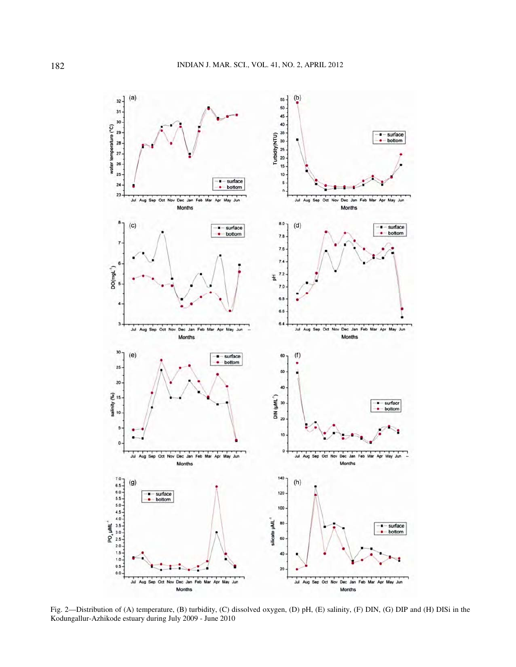

Fig. 2—Distribution of (A) temperature, (B) turbidity, (C) dissolved oxygen, (D) pH, (E) salinity, (F) DIN, (G) DIP and (H) DISi in the Kodungallur-Azhikode estuary during July 2009 - June 2010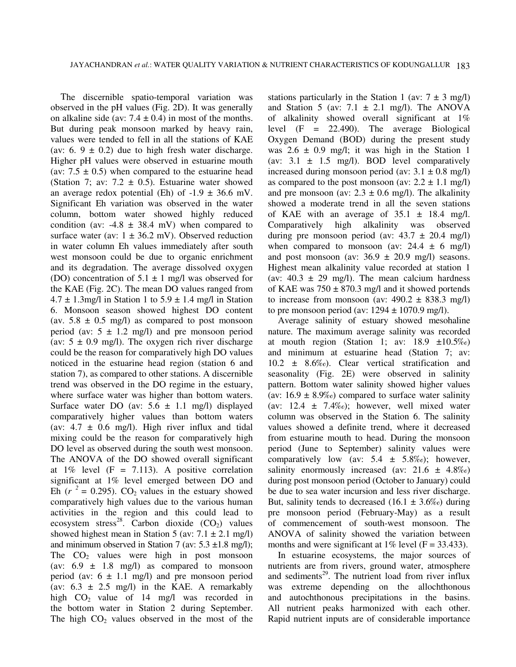The discernible spatio-temporal variation was observed in the pH values (Fig. 2D). It was generally on alkaline side (av:  $7.4 \pm 0.4$ ) in most of the months. But during peak monsoon marked by heavy rain, values were tended to fell in all the stations of KAE (av: 6.  $9 \pm 0.2$ ) due to high fresh water discharge. Higher pH values were observed in estuarine mouth (av:  $7.5 \pm 0.5$ ) when compared to the estuarine head (Station 7; av:  $7.2 \pm 0.5$ ). Estuarine water showed an average redox potential (Eh) of  $-1.9 \pm 36.6$  mV. Significant Eh variation was observed in the water column, bottom water showed highly reduced condition (av:  $-4.8 \pm 38.4$  mV) when compared to surface water (av:  $1 \pm 36.2$  mV). Observed reduction in water column Eh values immediately after south west monsoon could be due to organic enrichment and its degradation. The average dissolved oxygen (DO) concentration of  $5.1 \pm 1$  mg/l was observed for the KAE (Fig. 2C). The mean DO values ranged from  $4.7 \pm 1.3$ mg/l in Station 1 to  $5.9 \pm 1.4$  mg/l in Station 6. Monsoon season showed highest DO content (av.  $5.8 \pm 0.5$  mg/l) as compared to post monsoon period (av:  $5 \pm 1.2$  mg/l) and pre monsoon period (av:  $5 \pm 0.9$  mg/l). The oxygen rich river discharge could be the reason for comparatively high DO values noticed in the estuarine head region (station 6 and station 7), as compared to other stations. A discernible trend was observed in the DO regime in the estuary, where surface water was higher than bottom waters. Surface water DO (av:  $5.6 \pm 1.1$  mg/l) displayed comparatively higher values than bottom waters (av:  $4.7 \pm 0.6$  mg/l). High river influx and tidal mixing could be the reason for comparatively high DO level as observed during the south west monsoon. The ANOVA of the DO showed overall significant at  $1\%$  level (F = 7.113). A positive correlation significant at 1% level emerged between DO and Eh ( $r^2 = 0.295$ ). CO<sub>2</sub> values in the estuary showed comparatively high values due to the various human activities in the region and this could lead to ecosystem stress<sup>28</sup>. Carbon dioxide  $(CO_2)$  values showed highest mean in Station 5 (av:  $7.1 \pm 2.1$  mg/l) and minimum observed in Station 7 (av:  $5.3 \pm 1.8$  mg/l); The  $CO<sub>2</sub>$  values were high in post monsoon (av:  $6.9 \pm 1.8$  mg/l) as compared to monsoon period (av:  $6 \pm 1.1$  mg/l) and pre monsoon period (av:  $6.3 \pm 2.5$  mg/l) in the KAE. A remarkably high  $CO<sub>2</sub>$  value of 14 mg/l was recorded in the bottom water in Station 2 during September. The high  $CO<sub>2</sub>$  values observed in the most of the

stations particularly in the Station 1 (av:  $7 \pm 3$  mg/l) and Station 5 (av:  $7.1 \pm 2.1$  mg/l). The ANOVA of alkalinity showed overall significant at 1% level (F = 22.490). The average Biological Oxygen Demand (BOD) during the present study was  $2.6 \pm 0.9$  mg/l; it was high in the Station 1 (av:  $3.1 \pm 1.5$  mg/l). BOD level comparatively increased during monsoon period (av:  $3.1 \pm 0.8$  mg/l) as compared to the post monsoon (av:  $2.2 \pm 1.1$  mg/l) and pre monsoon (av:  $2.3 \pm 0.6$  mg/l). The alkalinity showed a moderate trend in all the seven stations of KAE with an average of  $35.1 \pm 18.4$  mg/l. Comparatively high alkalinity was observed during pre monsoon period (av:  $43.7 \pm 20.4$  mg/l) when compared to monsoon (av:  $24.4 \pm 6$  mg/l) and post monsoon (av:  $36.9 \pm 20.9$  mg/l) seasons. Highest mean alkalinity value recorded at station 1 (av:  $40.3 \pm 29$  mg/l). The mean calcium hardness of KAE was  $750 \pm 870.3$  mg/l and it showed portends to increase from monsoon (av:  $490.2 \pm 838.3$  mg/l) to pre monsoon period (av:  $1294 \pm 1070.9$  mg/l).

Average salinity of estuary showed mesohaline nature. The maximum average salinity was recorded at mouth region (Station 1; av:  $18.9 \pm 10.5\%$ ) and minimum at estuarine head (Station 7; av: 10.2 ± 8.6‰). Clear vertical stratification and seasonality (Fig. 2E) were observed in salinity pattern. Bottom water salinity showed higher values (av:  $16.9 \pm 8.9\%$ ) compared to surface water salinity (av:  $12.4 \pm 7.4\%$ ); however, well mixed water column was observed in the Station 6. The salinity values showed a definite trend, where it decreased from estuarine mouth to head. During the monsoon period (June to September) salinity values were comparatively low (av:  $5.4 \pm 5.8\%$ ); however, salinity enormously increased (av:  $21.6 \pm 4.8\%$ ) during post monsoon period (October to January) could be due to sea water incursion and less river discharge. But, salinity tends to decreased  $(16.1 \pm 3.6\%)$  during pre monsoon period (February-May) as a result of commencement of south-west monsoon. The ANOVA of salinity showed the variation between months and were significant at  $1\%$  level (F = 33.433).

In estuarine ecosystems, the major sources of nutrients are from rivers, ground water, atmosphere and sediments $^{29}$ . The nutrient load from river influx was extreme depending on the allochthonous and autochthonous precipitations in the basins. All nutrient peaks harmonized with each other. Rapid nutrient inputs are of considerable importance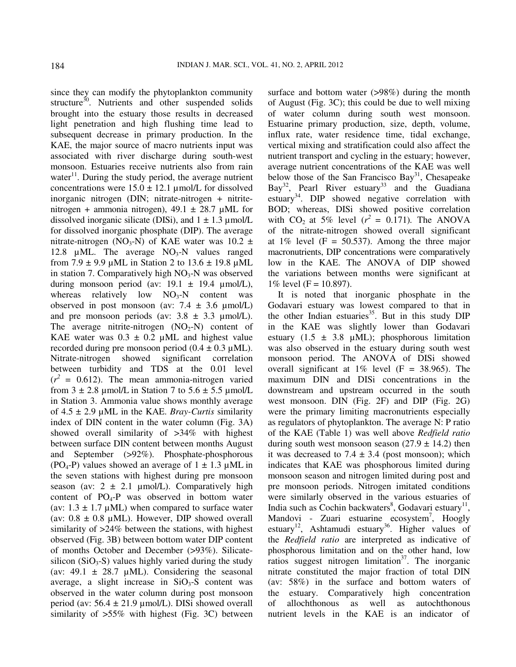since they can modify the phytoplankton community structure $30$ . Nutrients and other suspended solids brought into the estuary those results in decreased light penetration and high flushing time lead to subsequent decrease in primary production. In the KAE, the major source of macro nutrients input was associated with river discharge during south-west monsoon. Estuaries receive nutrients also from rain water<sup>11</sup>. During the study period, the average nutrient concentrations were  $15.0 \pm 12.1$  µmol/L for dissolved inorganic nitrogen (DIN; nitrate-nitrogen + nitritenitrogen + ammonia nitrogen),  $49.1 \pm 28.7 \mu \text{ML}$  for dissolved inorganic silicate (DISi), and  $1 \pm 1.3 \mu$ mol/L for dissolved inorganic phosphate (DIP). The average nitrate-nitrogen (NO<sub>3</sub>-N) of KAE water was 10.2  $\pm$ 12.8  $\mu$ ML. The average NO<sub>3</sub>-N values ranged from  $7.9 \pm 9.9$  µML in Station 2 to  $13.6 \pm 19.8$  µML in station 7. Comparatively high  $NO<sub>3</sub>$ -N was observed during monsoon period (av:  $19.1 \pm 19.4 \mu$ mol/L), whereas relatively low  $NO<sub>3</sub>-N$  content was observed in post monsoon (av:  $7.4 \pm 3.6 \mu$ mol/L) and pre monsoon periods (av:  $3.8 \pm 3.3 \text{ \mu}$ mol/L). The average nitrite-nitrogen  $(NO<sub>2</sub>-N)$  content of KAE water was  $0.3 \pm 0.2$  µML and highest value recorded during pre monsoon period  $(0.4 \pm 0.3 \,\mu)$ . Nitrate-nitrogen showed significant correlation between turbidity and TDS at the 0.01 level  $(r^2 = 0.612)$ . The mean ammonia-nitrogen varied from  $3 \pm 2.8$  µmol/L in Station 7 to  $5.6 \pm 5.5$  µmol/L in Station 3. Ammonia value shows monthly average of 4.5 ± 2.9 µML in the KAE. *Bray-Curtis* similarity index of DIN content in the water column (Fig. 3A) showed overall similarity of >34% with highest between surface DIN content between months August and September (>92%). Phosphate-phosphorous (PO<sub>4</sub>-P) values showed an average of  $1 \pm 1.3 \mu$ ML in the seven stations with highest during pre monsoon season (av:  $2 \pm 2.1 \text{ \mu} \text{mol/L}$ ). Comparatively high content of  $PO_4$ -P was observed in bottom water (av:  $1.3 \pm 1.7 \mu$ ML) when compared to surface water (av:  $0.8 \pm 0.8$  µML). However, DIP showed overall similarity of >24% between the stations, with highest observed (Fig. 3B) between bottom water DIP content of months October and December (>93%). Silicatesilicon ( $SiO<sub>3</sub>-S$ ) values highly varied during the study (av:  $49.1 \pm 28.7 \mu \text{ML}$ ). Considering the seasonal average, a slight increase in  $SiO<sub>3</sub>-S$  content was observed in the water column during post monsoon period (av:  $56.4 \pm 21.9 \text{ µmol/L}$ ). DISi showed overall similarity of >55% with highest (Fig. 3C) between

surface and bottom water (>98%) during the month of August (Fig. 3C); this could be due to well mixing of water column during south west monsoon. Estuarine primary production, size, depth, volume, influx rate, water residence time, tidal exchange, vertical mixing and stratification could also affect the nutrient transport and cycling in the estuary; however, average nutrient concentrations of the KAE was well below those of the San Francisco Bay<sup>31</sup>, Chesapeake Bay<sup>32</sup>, Pearl River estuary<sup>33</sup> and the Guadiana estuary<sup>34</sup>. DIP showed negative correlation with BOD; whereas, DISi showed positive correlation with  $CO_2$  at 5% level  $(r^2 = 0.171)$ . The ANOVA of the nitrate-nitrogen showed overall significant at  $1\%$  level (F = 50.537). Among the three major macronutrients, DIP concentrations were comparatively low in the KAE. The ANOVA of DIP showed the variations between months were significant at 1% level ( $F = 10.897$ ).

It is noted that inorganic phosphate in the Godavari estuary was lowest compared to that in the other Indian estuaries $35$ . But in this study DIP in the KAE was slightly lower than Godavari estuary  $(1.5 \pm 3.8 \mu)$ . phosphorous limitation was also observed in the estuary during south west monsoon period. The ANOVA of DISi showed overall significant at  $1\%$  level (F = 38.965). The maximum DIN and DISi concentrations in the downstream and upstream occurred in the south west monsoon. DIN (Fig. 2F) and DIP (Fig. 2G) were the primary limiting macronutrients especially as regulators of phytoplankton. The average N: P ratio of the KAE (Table 1) was well above *Redfield ratio* during south west monsoon season  $(27.9 \pm 14.2)$  then it was decreased to 7.4  $\pm$  3.4 (post monsoon); which indicates that KAE was phosphorous limited during monsoon season and nitrogen limited during post and pre monsoon periods. Nitrogen imitated conditions were similarly observed in the various estuaries of India such as Cochin backwaters<sup>8</sup>, Godavari estuary<sup>11</sup>, Mandovi - Zuari estuarine ecosystem<sup>7</sup>, Hoogly estuary<sup>12</sup>, Ashtamudi estuary<sup>36</sup>. Higher values of the *Redfield ratio* are interpreted as indicative of phosphorous limitation and on the other hand, low ratios suggest nitrogen limitation<sup>37</sup>. The inorganic nitrate constituted the major fraction of total DIN (av: 58%) in the surface and bottom waters of the estuary. Comparatively high concentration of allochthonous as well as autochthonous nutrient levels in the KAE is an indicator of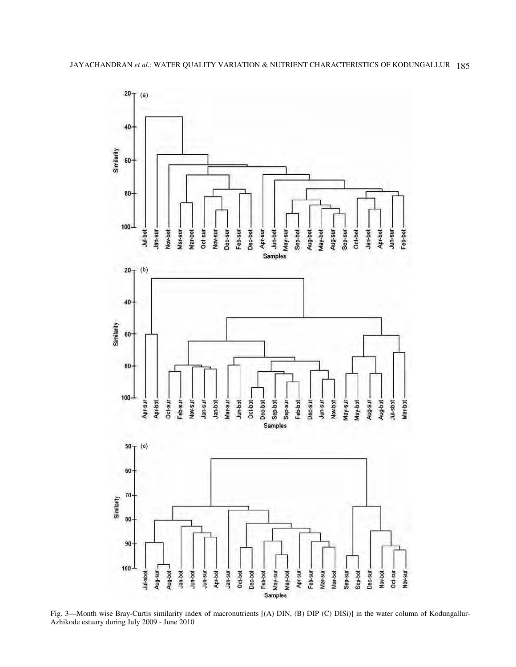

Fig. 3—Month wise Bray-Curtis similarity index of macronutrients [(A) DIN, (B) DIP (C) DISi)] in the water column of Kodungallur-Azhikode estuary during July 2009 - June 2010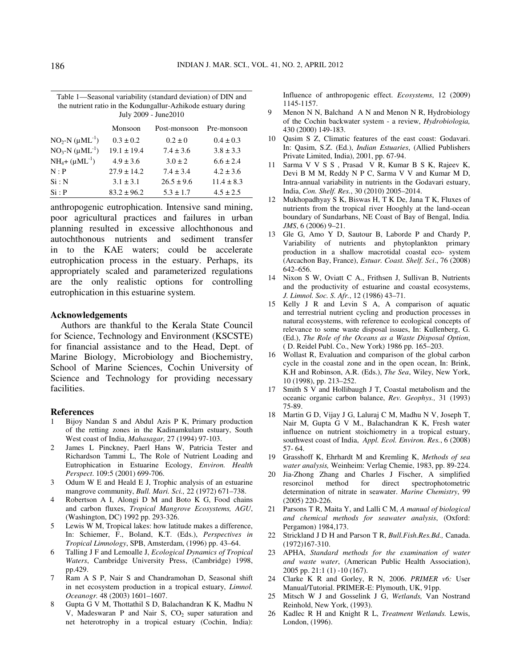| Table 1—Seasonal variability (standard deviation) of DIN and<br>the nutrient ratio in the Kodungallur-Azhikode estuary during |                               |                         |  |  |
|-------------------------------------------------------------------------------------------------------------------------------|-------------------------------|-------------------------|--|--|
| July 2009 - June 2010                                                                                                         |                               |                         |  |  |
| $M$ <sub>angaan</sub>                                                                                                         | $\mathbf{D}_{\alpha}$ monsoon | $D_{\text{eq}}$ monsoon |  |  |

|                               | Monsoon         | Post-monsoon   | Pre-monsoon    |
|-------------------------------|-----------------|----------------|----------------|
| $NO_2-N (\mu ML^{-1})$        | $0.3 \pm 0.2$   | $0.2 \pm 0$    | $0.4 \pm 0.3$  |
| $NO_3-N (\mu ML^{-1})$        | $19.1 \pm 19.4$ | $7.4 \pm 3.6$  | $3.8 \pm 3.3$  |
| $NH_4$ + (µML <sup>-1</sup> ) | $4.9 \pm 3.6$   | $3.0 \pm 2$    | $6.6 \pm 2.4$  |
| N : P                         | $27.9 \pm 14.2$ | $7.4 \pm 3.4$  | $4.2 \pm 3.6$  |
| Si: N                         | $3.1 \pm 3.1$   | $26.5 \pm 9.6$ | $11.4 \pm 8.3$ |
| Si : P                        | $83.2 \pm 96.2$ | $5.3 \pm 1.7$  | $4.5 \pm 2.5$  |

anthropogenic eutrophication. Intensive sand mining, poor agricultural practices and failures in urban planning resulted in excessive allochthonous and autochthonous nutrients and sediment transfer in to the KAE waters; could be accelerate eutrophication process in the estuary. Perhaps, its appropriately scaled and parameterized regulations are the only realistic options for controlling eutrophication in this estuarine system.

### **Acknowledgements**

Authors are thankful to the Kerala State Council for Science, Technology and Environment (KSCSTE) for financial assistance and to the Head, Dept. of Marine Biology, Microbiology and Biochemistry, School of Marine Sciences, Cochin University of Science and Technology for providing necessary facilities.

## **References**

- 1 Bijoy Nandan S and Abdul Azis P K, Primary production of the retting zones in the Kadinamkulam estuary, South West coast of India, *Mahasagar,* 27 (1994) 97-103.
- 2 James L Pinckney, Paerl Hans W, Patricia Tester and Richardson Tammi L, The Role of Nutrient Loading and Eutrophication in Estuarine Ecology, *Environ. Health Perspect*. 109:5 (2001) 699-706.
- 3 Odum W E and Heald E J, Trophic analysis of an estuarine mangrove community, *Bull. Mari. Sci.,* 22 (1972) 671–738.
- 4 Robertson A I, Alongi D M and Boto K G, Food chains and carbon fluxes, *Tropical Mangrove Ecosystems, AGU*, (Washington, DC) 1992 pp. 293-326.
- 5 Lewis W M, Tropical lakes: how latitude makes a difference, In: Schiemer, F., Boland, K.T. (Eds.), *Perspectives in Tropical Limnology*, SPB, Amsterdam, (1996) pp. 43–64.
- 6 Talling J F and Lemoalle J, *Ecological Dynamics of Tropical Waters*, Cambridge University Press, (Cambridge) 1998, pp.429.
- 7 Ram A S P, Nair S and Chandramohan D, Seasonal shift in net ecosystem production in a tropical estuary, *Limnol. Oceanogr.* 48 (2003) 1601–1607.
- 8 Gupta G V M, Thottathil S D, Balachandran K K, Madhu N V, Madeswaran P and Nair S,  $CO<sub>2</sub>$  super saturation and net heterotrophy in a tropical estuary (Cochin, India):

Influence of anthropogenic effect. *Ecosystems*, 12 (2009) 1145-1157.

- 9 Menon N N, Balchand A N and Menon N R, Hydrobiology of the Cochin backwater system - a review, *Hydrobiologia,*  430 (2000) 149-183.
- 10 Qasim S Z, Climatic features of the east coast: Godavari. In: Qasim, S.Z. (Ed.), *Indian Estuaries*, (Allied Publishers Private Limited, India), 2001, pp. 67-94.
- 11 Sarma V V S S , Prasad V R, Kumar B S K, Rajeev K, Devi B M M, Reddy N P C, Sarma V V and Kumar M D, Intra-annual variability in nutrients in the Godavari estuary, India, *Con. Shelf. Res.*, 30 (2010) 2005–2014.
- 12 Mukhopadhyay S K, Biswas H, T K De, Jana T K, Fluxes of nutrients from the tropical river Hooghly at the land-ocean boundary of Sundarbans, NE Coast of Bay of Bengal, India*. JMS*, 6 (2006) 9–21.
- 13 Gle G, Amo Y D, Sautour B, Laborde P and Chardy P, Variability of nutrients and phytoplankton primary production in a shallow macrotidal coastal eco- system (Arcachon Bay, France), *Estuar. Coast. Shelf. Sci*., 76 (2008) 642–656.
- 14 Nixon S W, Oviatt C A., Frithsen J, Sullivan B, Nutrients and the productivity of estuarine and coastal ecosystems, *J. Limnol. Soc. S. Afr.*, 12 (1986) 43–71.
- 15 Kelly J R and Levin S A, A comparison of aquatic and terrestrial nutrient cycling and production processes in natural ecosystems, with reference to ecological concepts of relevance to some waste disposal issues, In: Kullenberg, G. (Ed.), *The Role of the Oceans as a Waste Disposal Option*, ( D. Reidel Publ. Co., New York) 1986 pp. 165–203.
- 16 Wollast R, Evaluation and comparison of the global carbon cycle in the coastal zone and in the open ocean, In: Brink, K.H and Robinson, A.R. (Eds.), *The Sea*, Wiley, New York, 10 (1998), pp. 213–252.
- 17 Smith S V and Hollibaugh J T, Coastal metabolism and the oceanic organic carbon balance, *Rev. Geophys.,* 31 (1993) 75-89.
- 18 Martin G D, Vijay J G, Laluraj C M, Madhu N V, Joseph T, Nair M, Gupta G V M., Balachandran K K, Fresh water influence on nutrient stoichiometry in a tropical estuary, southwest coast of India, *Appl. Ecol. Environ. Res.*, 6 (2008) 57- 64.
- 19 Grasshoff K, Ehrhardt M and Kremling K, *Methods of sea water analysis,* Weinheim: Verlag Chemie, 1983, pp. 89-224.
- 20 Jia-Zhong Zhang and Charles J Fischer, A simplified resorcinol method for direct spectrophotometric determination of nitrate in seawater. *Marine Chemistry*, 99 (2005) 220-226.
- 21 Parsons T R, Maita Y, and Lalli C M, *A manual of biological and chemical methods for seawater analysis*, (Oxford: Pergamon) 1984,173.
- 22 Strickland J D H and Parson T R, *Bull.Fish.Res.Bd.,* Canada. (1972)167-310.
- 23 APHA, *Standard methods for the examination of water and waste water*, (American Public Health Association), 2005 pp. 21:1 (1) -10 (167).
- 24 Clarke K R and Gorley, R N, 2006. *PRIMER v6:* User Manual/Tutorial. PRIMER-E: Plymouth, UK, 91pp.
- 25 Mitsch W J and Gosselink J G, *Wetlands,* Van Nostrand Reinhold, New York, (1993).
- 26 Kadlec R H and Knight R L, *Treatment Wetlands.* Lewis, London, (1996).